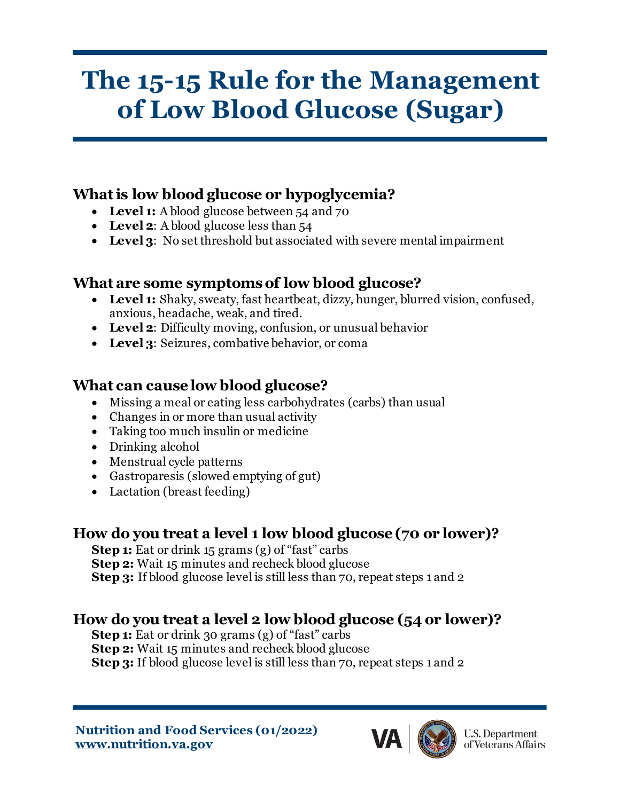# **The 15-15 Rule for the Management of Low Blood Glucose (Sugar)**

#### **What is low blood glucose or hypoglycemia?**

- Level 1: A blood glucose between 54 and 70
- Level 2: A blood glucose less than 54
- **Level 3**: No set threshold but associated with severe mental impairment

## **What are some symptoms of low blood glucose?**

- **Level 1:** Shaky, sweaty, fast heartbeat, dizzy, hunger, blurred vision, confused, anxious, headache, weak, and tired.
- **Level 2**: Difficulty moving, confusion, or unusual behavior
- **Level 3**: Seizures, combative behavior, or coma

## **What can cause low blood glucose?**

- Missing a meal or eating less carbohydrates (carbs) than usual
- Changes in or more than usual activity
- Taking too much insulin or medicine
- Drinking alcohol
- Menstrual cycle patterns
- Gastroparesis (slowed emptying of gut)
- Lactation (breast feeding)

## **How do you treat a level 1 low blood glucose (70 or lower)?**

**Step 1:** Eat or drink 15 grams (g) of "fast" carbs **Step 2:** Wait 15 minutes and recheck blood glucose **Step 3:** If blood glucose level is still less than 70, repeat steps 1 and 2

## **How do you treat a level 2 low blood glucose (54 or lower)?**

**Step 1:** Eat or drink 30 grams (g) of "fast" carbs **Step 2:** Wait 15 minutes and recheck blood glucose **Step 3:** If blood glucose level is still less than 70, repeat steps 1 and 2

**Nutrition and Food Services (01/2022) www.nutrition.va.gov**



**U.S. Department** of Veterans Affairs